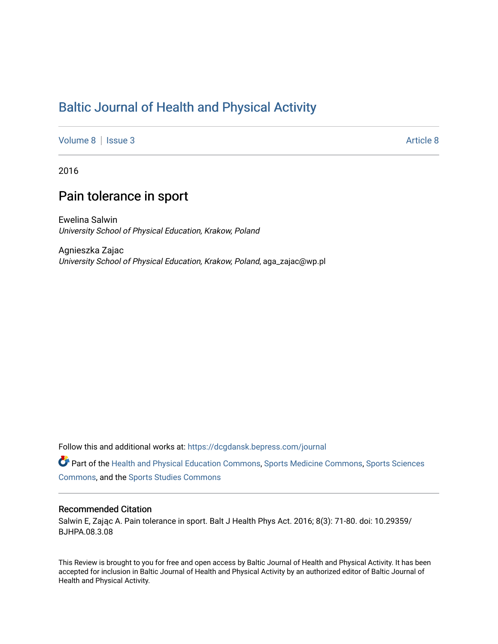# [Baltic Journal of Health and Physical Activity](https://dcgdansk.bepress.com/journal)

[Volume 8](https://dcgdansk.bepress.com/journal/vol8) | [Issue 3](https://dcgdansk.bepress.com/journal/vol8/iss3) Article 8

2016

## Pain tolerance in sport

Ewelina Salwin University School of Physical Education, Krakow, Poland

Agnieszka Zajac University School of Physical Education, Krakow, Poland, aga\_zajac@wp.pl

Follow this and additional works at: [https://dcgdansk.bepress.com/journal](https://dcgdansk.bepress.com/journal?utm_source=dcgdansk.bepress.com%2Fjournal%2Fvol8%2Fiss3%2F8&utm_medium=PDF&utm_campaign=PDFCoverPages)

Part of the [Health and Physical Education Commons](http://network.bepress.com/hgg/discipline/1327?utm_source=dcgdansk.bepress.com%2Fjournal%2Fvol8%2Fiss3%2F8&utm_medium=PDF&utm_campaign=PDFCoverPages), [Sports Medicine Commons,](http://network.bepress.com/hgg/discipline/1331?utm_source=dcgdansk.bepress.com%2Fjournal%2Fvol8%2Fiss3%2F8&utm_medium=PDF&utm_campaign=PDFCoverPages) [Sports Sciences](http://network.bepress.com/hgg/discipline/759?utm_source=dcgdansk.bepress.com%2Fjournal%2Fvol8%2Fiss3%2F8&utm_medium=PDF&utm_campaign=PDFCoverPages) [Commons](http://network.bepress.com/hgg/discipline/759?utm_source=dcgdansk.bepress.com%2Fjournal%2Fvol8%2Fiss3%2F8&utm_medium=PDF&utm_campaign=PDFCoverPages), and the [Sports Studies Commons](http://network.bepress.com/hgg/discipline/1198?utm_source=dcgdansk.bepress.com%2Fjournal%2Fvol8%2Fiss3%2F8&utm_medium=PDF&utm_campaign=PDFCoverPages) 

#### Recommended Citation

Salwin E, Zając A. Pain tolerance in sport. Balt J Health Phys Act. 2016; 8(3): 71-80. doi: 10.29359/ BJHPA.08.3.08

This Review is brought to you for free and open access by Baltic Journal of Health and Physical Activity. It has been accepted for inclusion in Baltic Journal of Health and Physical Activity by an authorized editor of Baltic Journal of Health and Physical Activity.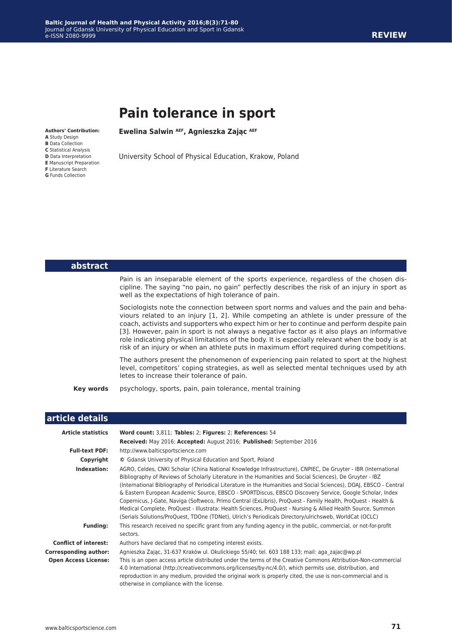# **Pain tolerance in sport**

**Ewelina Salwin AEF, Agnieszka Zając AEF**

University School of Physical Education, Krakow, Poland

**Authors' Contribution: A** Study Design **B** Data Collection **C** Statistical Analysis **D** Data Interpretation **E** Manuscript Preparation **F** Literature Search **G** Funds Collection

#### Pain is an inseparable element of the sports experience, regardless of the chosen discipline. The saying "no pain, no gain" perfectly describes the risk of an injury in sport as well as the expectations of high tolerance of pain.

**abstract**

Sociologists note the connection between sport norms and values and the pain and behaviours related to an injury [1, 2]. While competing an athlete is under pressure of the coach, activists and supporters who expect him or her to continue and perform despite pain [3]. However, pain in sport is not always a negative factor as it also plays an informative role indicating physical limitations of the body. It is especially relevant when the body is at risk of an injury or when an athlete puts in maximum effort required during competitions.

The authors present the phenomenon of experiencing pain related to sport at the highest level, competitors' coping strategies, as well as selected mental techniques used by ath letes to increase their tolerance of pain.

**Key words** psychology, sports, pain, pain tolerance, mental training

| article details              |                                                                                                                                                                                                                                                                                                                                                                                                                                                                                                                                                                                                                                                                                                                                                                                                      |
|------------------------------|------------------------------------------------------------------------------------------------------------------------------------------------------------------------------------------------------------------------------------------------------------------------------------------------------------------------------------------------------------------------------------------------------------------------------------------------------------------------------------------------------------------------------------------------------------------------------------------------------------------------------------------------------------------------------------------------------------------------------------------------------------------------------------------------------|
| <b>Article statistics</b>    | Word count: 3,811; Tables: 2; Figures: 2; References: 54                                                                                                                                                                                                                                                                                                                                                                                                                                                                                                                                                                                                                                                                                                                                             |
|                              | Received: May 2016; Accepted: August 2016; Published: September 2016                                                                                                                                                                                                                                                                                                                                                                                                                                                                                                                                                                                                                                                                                                                                 |
| <b>Full-text PDF:</b>        | http://www.balticsportscience.com                                                                                                                                                                                                                                                                                                                                                                                                                                                                                                                                                                                                                                                                                                                                                                    |
| Copyright                    | © Gdansk University of Physical Education and Sport, Poland                                                                                                                                                                                                                                                                                                                                                                                                                                                                                                                                                                                                                                                                                                                                          |
| Indexation:                  | AGRO, Celdes, CNKI Scholar (China National Knowledge Infrastructure), CNPIEC, De Gruyter - IBR (International<br>Bibliography of Reviews of Scholarly Literature in the Humanities and Social Sciences), De Gruyter - IBZ<br>(International Bibliography of Periodical Literature in the Humanities and Social Sciences), DOAJ, EBSCO - Central<br>& Eastern European Academic Source, EBSCO - SPORTDiscus, EBSCO Discovery Service, Google Scholar, Index<br>Copernicus, J-Gate, Naviga (Softweco, Primo Central (ExLibris), ProQuest - Family Health, ProQuest - Health &<br>Medical Complete, ProQuest - Illustrata: Health Sciences, ProQuest - Nursing & Allied Health Source, Summon<br>(Serials Solutions/ProQuest, TDOne (TDNet), Ulrich's Periodicals Directory/ulrichsweb, WorldCat (OCLC) |
| <b>Funding:</b>              | This research received no specific grant from any funding agency in the public, commercial, or not-for-profit<br>sectors.                                                                                                                                                                                                                                                                                                                                                                                                                                                                                                                                                                                                                                                                            |
| <b>Conflict of interest:</b> | Authors have declared that no competing interest exists.                                                                                                                                                                                                                                                                                                                                                                                                                                                                                                                                                                                                                                                                                                                                             |
| <b>Corresponding author:</b> | Agnieszka Zając, 31-637 Kraków ul. Okulickiego 55/40; tel. 603 188 133; mail: aga zając@wp.pl                                                                                                                                                                                                                                                                                                                                                                                                                                                                                                                                                                                                                                                                                                        |
| <b>Open Access License:</b>  | This is an open access article distributed under the terms of the Creative Commons Attribution-Non-commercial<br>4.0 International (http://creativecommons.org/licenses/by-nc/4.0/), which permits use, distribution, and<br>reproduction in any medium, provided the original work is properly cited, the use is non-commercial and is<br>otherwise in compliance with the license.                                                                                                                                                                                                                                                                                                                                                                                                                 |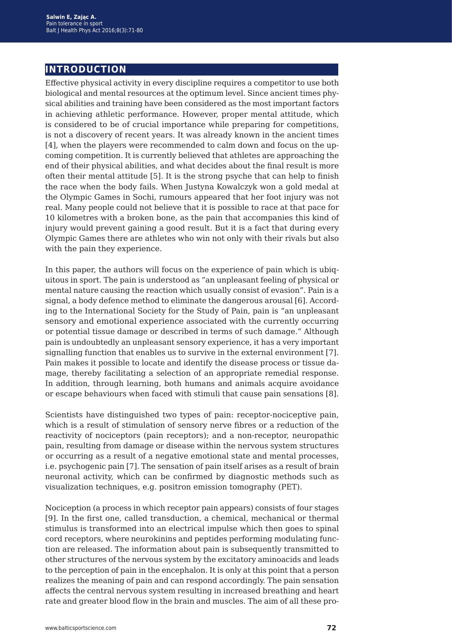## **introduction**

Effective physical activity in every discipline requires a competitor to use both biological and mental resources at the optimum level. Since ancient times physical abilities and training have been considered as the most important factors in achieving athletic performance. However, proper mental attitude, which is considered to be of crucial importance while preparing for competitions, is not a discovery of recent years. It was already known in the ancient times [4], when the players were recommended to calm down and focus on the upcoming competition. It is currently believed that athletes are approaching the end of their physical abilities, and what decides about the final result is more often their mental attitude [5]. It is the strong psyche that can help to finish the race when the body fails. When Justyna Kowalczyk won a gold medal at the Olympic Games in Sochi, rumours appeared that her foot injury was not real. Many people could not believe that it is possible to race at that pace for 10 kilometres with a broken bone, as the pain that accompanies this kind of injury would prevent gaining a good result. But it is a fact that during every Olympic Games there are athletes who win not only with their rivals but also with the pain they experience.

In this paper, the authors will focus on the experience of pain which is ubiquitous in sport. The pain is understood as "an unpleasant feeling of physical or mental nature causing the reaction which usually consist of evasion". Pain is a signal, a body defence method to eliminate the dangerous arousal [6]. According to the International Society for the Study of Pain, pain is "an unpleasant sensory and emotional experience associated with the currently occurring or potential tissue damage or described in terms of such damage." Although pain is undoubtedly an unpleasant sensory experience, it has a very important signalling function that enables us to survive in the external environment [7]. Pain makes it possible to locate and identify the disease process or tissue damage, thereby facilitating a selection of an appropriate remedial response. In addition, through learning, both humans and animals acquire avoidance or escape behaviours when faced with stimuli that cause pain sensations [8].

Scientists have distinguished two types of pain: receptor-nociceptive pain, which is a result of stimulation of sensory nerve fibres or a reduction of the reactivity of nociceptors (pain receptors); and a non-receptor, neuropathic pain, resulting from damage or disease within the nervous system structures or occurring as a result of a negative emotional state and mental processes, i.e. psychogenic pain [7]. The sensation of pain itself arises as a result of brain neuronal activity, which can be confirmed by diagnostic methods such as visualization techniques, e.g. positron emission tomography (PET).

Nociception (a process in which receptor pain appears) consists of four stages [9]. In the first one, called transduction, a chemical, mechanical or thermal stimulus is transformed into an electrical impulse which then goes to spinal cord receptors, where neurokinins and peptides performing modulating function are released. The information about pain is subsequently transmitted to other structures of the nervous system by the excitatory aminoacids and leads to the perception of pain in the encephalon. It is only at this point that a person realizes the meaning of pain and can respond accordingly. The pain sensation affects the central nervous system resulting in increased breathing and heart rate and greater blood flow in the brain and muscles. The aim of all these pro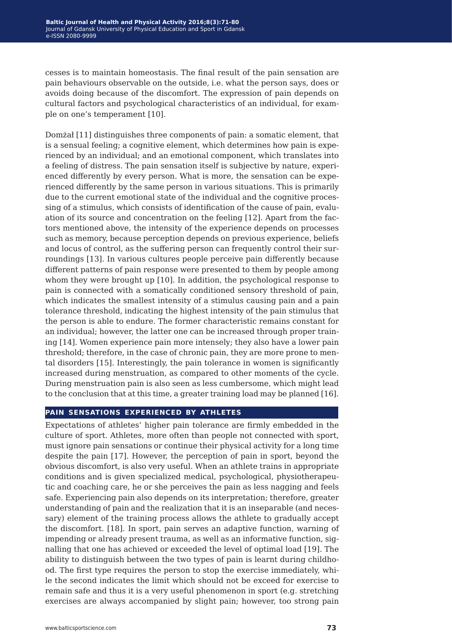cesses is to maintain homeostasis. The final result of the pain sensation are pain behaviours observable on the outside, i.e. what the person says, does or avoids doing because of the discomfort. The expression of pain depends on cultural factors and psychological characteristics of an individual, for example on one's temperament [10].

Domżał [11] distinguishes three components of pain: a somatic element, that is a sensual feeling; a cognitive element, which determines how pain is experienced by an individual; and an emotional component, which translates into a feeling of distress. The pain sensation itself is subjective by nature, experienced differently by every person. What is more, the sensation can be experienced differently by the same person in various situations. This is primarily due to the current emotional state of the individual and the cognitive processing of a stimulus, which consists of identification of the cause of pain, evaluation of its source and concentration on the feeling [12]. Apart from the factors mentioned above, the intensity of the experience depends on processes such as memory, because perception depends on previous experience, beliefs and locus of control, as the suffering person can frequently control their surroundings [13]. In various cultures people perceive pain differently because different patterns of pain response were presented to them by people among whom they were brought up [10]. In addition, the psychological response to pain is connected with a somatically conditioned sensory threshold of pain, which indicates the smallest intensity of a stimulus causing pain and a pain tolerance threshold, indicating the highest intensity of the pain stimulus that the person is able to endure. The former characteristic remains constant for an individual; however, the latter one can be increased through proper training [14]. Women experience pain more intensely; they also have a lower pain threshold; therefore, in the case of chronic pain, they are more prone to mental disorders [15]. Interestingly, the pain tolerance in women is significantly increased during menstruation, as compared to other moments of the cycle. During menstruation pain is also seen as less cumbersome, which might lead to the conclusion that at this time, a greater training load may be planned [16].

#### **pain sensations experienced by athletes**

Expectations of athletes' higher pain tolerance are firmly embedded in the culture of sport. Athletes, more often than people not connected with sport, must ignore pain sensations or continue their physical activity for a long time despite the pain [17]. However, the perception of pain in sport, beyond the obvious discomfort, is also very useful. When an athlete trains in appropriate conditions and is given specialized medical, psychological, physiotherapeutic and coaching care, he or she perceives the pain as less nagging and feels safe. Experiencing pain also depends on its interpretation; therefore, greater understanding of pain and the realization that it is an inseparable (and necessary) element of the training process allows the athlete to gradually accept the discomfort. [18]. In sport, pain serves an adaptive function, warning of impending or already present trauma, as well as an informative function, signalling that one has achieved or exceeded the level of optimal load [19]. The ability to distinguish between the two types of pain is learnt during childhood. The first type requires the person to stop the exercise immediately, while the second indicates the limit which should not be exceed for exercise to remain safe and thus it is a very useful phenomenon in sport (e.g. stretching exercises are always accompanied by slight pain; however, too strong pain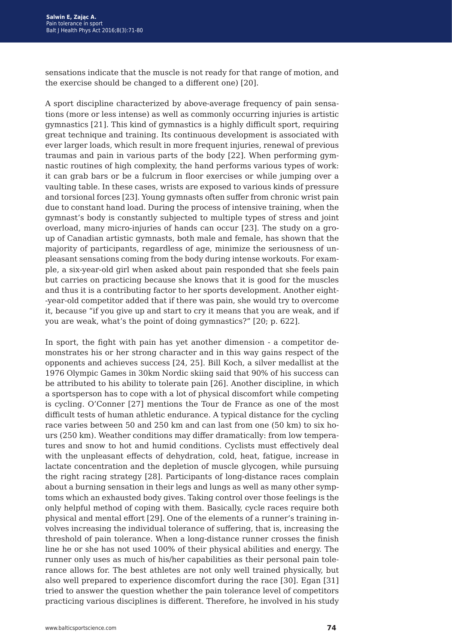sensations indicate that the muscle is not ready for that range of motion, and the exercise should be changed to a different one) [20].

A sport discipline characterized by above-average frequency of pain sensations (more or less intense) as well as commonly occurring injuries is artistic gymnastics [21]. This kind of gymnastics is a highly difficult sport, requiring great technique and training. Its continuous development is associated with ever larger loads, which result in more frequent injuries, renewal of previous traumas and pain in various parts of the body [22]. When performing gymnastic routines of high complexity, the hand performs various types of work: it can grab bars or be a fulcrum in floor exercises or while jumping over a vaulting table. In these cases, wrists are exposed to various kinds of pressure and torsional forces [23]. Young gymnasts often suffer from chronic wrist pain due to constant hand load. During the process of intensive training, when the gymnast's body is constantly subjected to multiple types of stress and joint overload, many micro-injuries of hands can occur [23]. The study on a group of Canadian artistic gymnasts, both male and female, has shown that the majority of participants, regardless of age, minimize the seriousness of unpleasant sensations coming from the body during intense workouts. For example, a six-year-old girl when asked about pain responded that she feels pain but carries on practicing because she knows that it is good for the muscles and thus it is a contributing factor to her sports development. Another eight- -year-old competitor added that if there was pain, she would try to overcome it, because "if you give up and start to cry it means that you are weak, and if you are weak, what's the point of doing gymnastics?" [20; p. 622].

In sport, the fight with pain has yet another dimension - a competitor demonstrates his or her strong character and in this way gains respect of the opponents and achieves success [24, 25]. Bill Koch, a silver medallist at the 1976 Olympic Games in 30km Nordic skiing said that 90% of his success can be attributed to his ability to tolerate pain [26]. Another discipline, in which a sportsperson has to cope with a lot of physical discomfort while competing is cycling. O'Conner [27] mentions the Tour de France as one of the most difficult tests of human athletic endurance. A typical distance for the cycling race varies between 50 and 250 km and can last from one (50 km) to six hours (250 km). Weather conditions may differ dramatically: from low temperatures and snow to hot and humid conditions. Cyclists must effectively deal with the unpleasant effects of dehydration, cold, heat, fatigue, increase in lactate concentration and the depletion of muscle glycogen, while pursuing the right racing strategy [28]. Participants of long-distance races complain about a burning sensation in their legs and lungs as well as many other symptoms which an exhausted body gives. Taking control over those feelings is the only helpful method of coping with them. Basically, cycle races require both physical and mental effort [29]. One of the elements of a runner's training involves increasing the individual tolerance of suffering, that is, increasing the threshold of pain tolerance. When a long-distance runner crosses the finish line he or she has not used 100% of their physical abilities and energy. The runner only uses as much of his/her capabilities as their personal pain tolerance allows for. The best athletes are not only well trained physically, but also well prepared to experience discomfort during the race [30]. Egan [31] tried to answer the question whether the pain tolerance level of competitors practicing various disciplines is different. Therefore, he involved in his study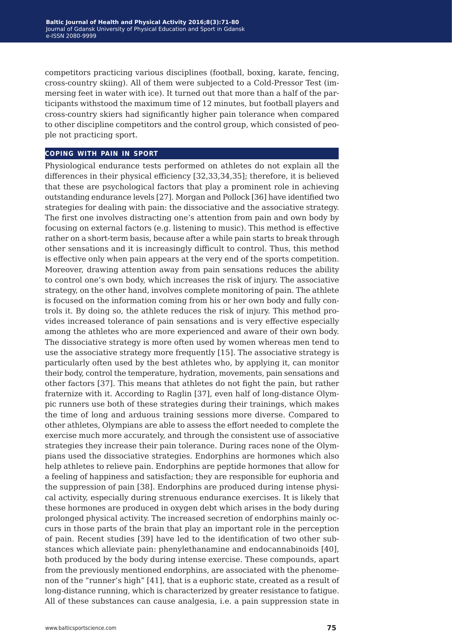competitors practicing various disciplines (football, boxing, karate, fencing, cross-country skiing). All of them were subjected to a Cold-Pressor Test (immersing feet in water with ice). It turned out that more than a half of the participants withstood the maximum time of 12 minutes, but football players and cross-country skiers had significantly higher pain tolerance when compared to other discipline competitors and the control group, which consisted of people not practicing sport.

#### **coping with pain in sport**

Physiological endurance tests performed on athletes do not explain all the differences in their physical efficiency [32,33,34,35]; therefore, it is believed that these are psychological factors that play a prominent role in achieving outstanding endurance levels [27]. Morgan and Pollock [36] have identified two strategies for dealing with pain: the dissociative and the associative strategy. The first one involves distracting one's attention from pain and own body by focusing on external factors (e.g. listening to music). This method is effective rather on a short-term basis, because after a while pain starts to break through other sensations and it is increasingly difficult to control. Thus, this method is effective only when pain appears at the very end of the sports competition. Moreover, drawing attention away from pain sensations reduces the ability to control one's own body, which increases the risk of injury. The associative strategy, on the other hand, involves complete monitoring of pain. The athlete is focused on the information coming from his or her own body and fully controls it. By doing so, the athlete reduces the risk of injury. This method provides increased tolerance of pain sensations and is very effective especially among the athletes who are more experienced and aware of their own body. The dissociative strategy is more often used by women whereas men tend to use the associative strategy more frequently [15]. The associative strategy is particularly often used by the best athletes who, by applying it, can monitor their body, control the temperature, hydration, movements, pain sensations and other factors [37]. This means that athletes do not fight the pain, but rather fraternize with it. According to Raglin [37], even half of long-distance Olympic runners use both of these strategies during their trainings, which makes the time of long and arduous training sessions more diverse. Compared to other athletes, Olympians are able to assess the effort needed to complete the exercise much more accurately, and through the consistent use of associative strategies they increase their pain tolerance. During races none of the Olympians used the dissociative strategies. Endorphins are hormones which also help athletes to relieve pain. Endorphins are peptide hormones that allow for a feeling of happiness and satisfaction; they are responsible for euphoria and the suppression of pain [38]. Endorphins are produced during intense physical activity, especially during strenuous endurance exercises. It is likely that these hormones are produced in oxygen debt which arises in the body during prolonged physical activity. The increased secretion of endorphins mainly occurs in those parts of the brain that play an important role in the perception of pain. Recent studies [39] have led to the identification of two other substances which alleviate pain: phenylethanamine and endocannabinoids [40], both produced by the body during intense exercise. These compounds, apart from the previously mentioned endorphins, are associated with the phenomenon of the "runner's high" [41], that is a euphoric state, created as a result of long-distance running, which is characterized by greater resistance to fatigue. All of these substances can cause analgesia, i.e. a pain suppression state in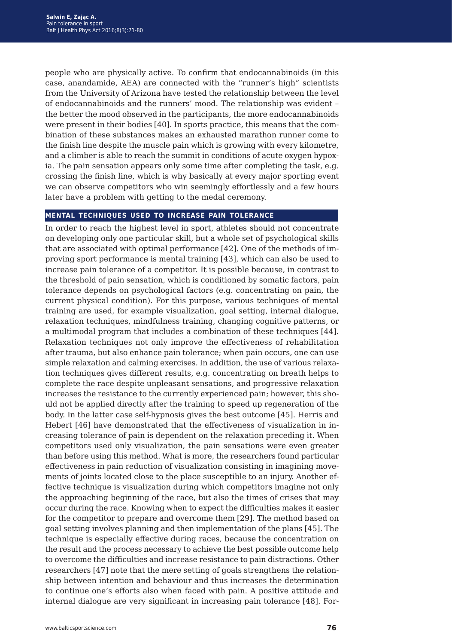people who are physically active. To confirm that endocannabinoids (in this case, anandamide, AEA) are connected with the "runner's high" scientists from the University of Arizona have tested the relationship between the level of endocannabinoids and the runners' mood. The relationship was evident – the better the mood observed in the participants, the more endocannabinoids were present in their bodies [40]. In sports practice, this means that the combination of these substances makes an exhausted marathon runner come to the finish line despite the muscle pain which is growing with every kilometre, and a climber is able to reach the summit in conditions of acute oxygen hypoxia. The pain sensation appears only some time after completing the task, e.g. crossing the finish line, which is why basically at every major sporting event we can observe competitors who win seemingly effortlessly and a few hours later have a problem with getting to the medal ceremony.

#### **mental techniques used to increase pain tolerance**

In order to reach the highest level in sport, athletes should not concentrate on developing only one particular skill, but a whole set of psychological skills that are associated with optimal performance [42]. One of the methods of improving sport performance is mental training [43], which can also be used to increase pain tolerance of a competitor. It is possible because, in contrast to the threshold of pain sensation, which is conditioned by somatic factors, pain tolerance depends on psychological factors (e.g. concentrating on pain, the current physical condition). For this purpose, various techniques of mental training are used, for example visualization, goal setting, internal dialogue, relaxation techniques, mindfulness training, changing cognitive patterns, or a multimodal program that includes a combination of these techniques [44]. Relaxation techniques not only improve the effectiveness of rehabilitation after trauma, but also enhance pain tolerance; when pain occurs, one can use simple relaxation and calming exercises. In addition, the use of various relaxation techniques gives different results, e.g. concentrating on breath helps to complete the race despite unpleasant sensations, and progressive relaxation increases the resistance to the currently experienced pain; however, this should not be applied directly after the training to speed up regeneration of the body. In the latter case self-hypnosis gives the best outcome [45]. Herris and Hebert [46] have demonstrated that the effectiveness of visualization in increasing tolerance of pain is dependent on the relaxation preceding it. When competitors used only visualization, the pain sensations were even greater than before using this method. What is more, the researchers found particular effectiveness in pain reduction of visualization consisting in imagining movements of joints located close to the place susceptible to an injury. Another effective technique is visualization during which competitors imagine not only the approaching beginning of the race, but also the times of crises that may occur during the race. Knowing when to expect the difficulties makes it easier for the competitor to prepare and overcome them [29]. The method based on goal setting involves planning and then implementation of the plans [45]. The technique is especially effective during races, because the concentration on the result and the process necessary to achieve the best possible outcome help to overcome the difficulties and increase resistance to pain distractions. Other researchers [47] note that the mere setting of goals strengthens the relationship between intention and behaviour and thus increases the determination to continue one's efforts also when faced with pain. A positive attitude and internal dialogue are very significant in increasing pain tolerance [48]. For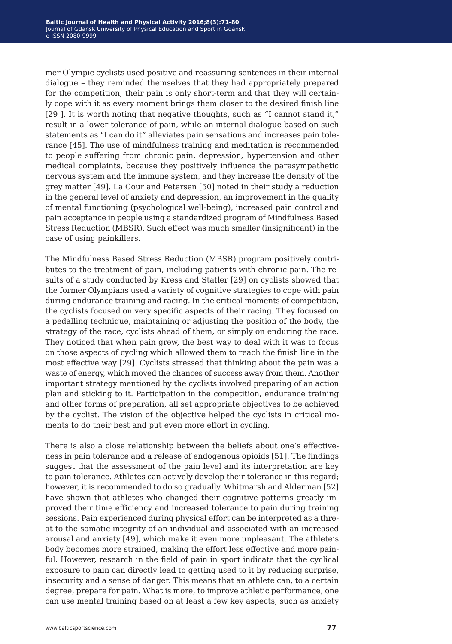mer Olympic cyclists used positive and reassuring sentences in their internal dialogue – they reminded themselves that they had appropriately prepared for the competition, their pain is only short-term and that they will certainly cope with it as every moment brings them closer to the desired finish line [29 ]. It is worth noting that negative thoughts, such as "I cannot stand it," result in a lower tolerance of pain, while an internal dialogue based on such statements as "I can do it" alleviates pain sensations and increases pain tolerance [45]. The use of mindfulness training and meditation is recommended to people suffering from chronic pain, depression, hypertension and other medical complaints, because they positively influence the parasympathetic nervous system and the immune system, and they increase the density of the grey matter [49]. La Cour and Petersen [50] noted in their study a reduction in the general level of anxiety and depression, an improvement in the quality of mental functioning (psychological well-being), increased pain control and pain acceptance in people using a standardized program of Mindfulness Based Stress Reduction (MBSR). Such effect was much smaller (insignificant) in the case of using painkillers.

The Mindfulness Based Stress Reduction (MBSR) program positively contributes to the treatment of pain, including patients with chronic pain. The results of a study conducted by Kress and Statler [29] on cyclists showed that the former Olympians used a variety of cognitive strategies to cope with pain during endurance training and racing. In the critical moments of competition, the cyclists focused on very specific aspects of their racing. They focused on a pedalling technique, maintaining or adjusting the position of the body, the strategy of the race, cyclists ahead of them, or simply on enduring the race. They noticed that when pain grew, the best way to deal with it was to focus on those aspects of cycling which allowed them to reach the finish line in the most effective way [29]. Cyclists stressed that thinking about the pain was a waste of energy, which moved the chances of success away from them. Another important strategy mentioned by the cyclists involved preparing of an action plan and sticking to it. Participation in the competition, endurance training and other forms of preparation, all set appropriate objectives to be achieved by the cyclist. The vision of the objective helped the cyclists in critical moments to do their best and put even more effort in cycling.

There is also a close relationship between the beliefs about one's effectiveness in pain tolerance and a release of endogenous opioids [51]. The findings suggest that the assessment of the pain level and its interpretation are key to pain tolerance. Athletes can actively develop their tolerance in this regard; however, it is recommended to do so gradually. Whitmarsh and Alderman [52] have shown that athletes who changed their cognitive patterns greatly improved their time efficiency and increased tolerance to pain during training sessions. Pain experienced during physical effort can be interpreted as a threat to the somatic integrity of an individual and associated with an increased arousal and anxiety [49], which make it even more unpleasant. The athlete's body becomes more strained, making the effort less effective and more painful. However, research in the field of pain in sport indicate that the cyclical exposure to pain can directly lead to getting used to it by reducing surprise, insecurity and a sense of danger. This means that an athlete can, to a certain degree, prepare for pain. What is more, to improve athletic performance, one can use mental training based on at least a few key aspects, such as anxiety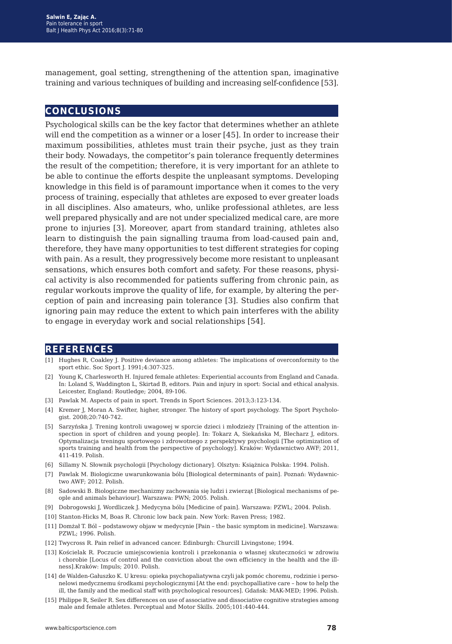management, goal setting, strengthening of the attention span, imaginative training and various techniques of building and increasing self-confidence [53].

### **conclusions**

Psychological skills can be the key factor that determines whether an athlete will end the competition as a winner or a loser [45]. In order to increase their maximum possibilities, athletes must train their psyche, just as they train their body. Nowadays, the competitor's pain tolerance frequently determines the result of the competition; therefore, it is very important for an athlete to be able to continue the efforts despite the unpleasant symptoms. Developing knowledge in this field is of paramount importance when it comes to the very process of training, especially that athletes are exposed to ever greater loads in all disciplines. Also amateurs, who, unlike professional athletes, are less well prepared physically and are not under specialized medical care, are more prone to injuries [3]. Moreover, apart from standard training, athletes also learn to distinguish the pain signalling trauma from load-caused pain and, therefore, they have many opportunities to test different strategies for coping with pain. As a result, they progressively become more resistant to unpleasant sensations, which ensures both comfort and safety. For these reasons, physical activity is also recommended for patients suffering from chronic pain, as regular workouts improve the quality of life, for example, by altering the perception of pain and increasing pain tolerance [3]. Studies also confirm that ignoring pain may reduce the extent to which pain interferes with the ability to engage in everyday work and social relationships [54].

#### **references**

- [1] Hughes R, Coakley J. Positive deviance among athletes: The implications of overconformity to the sport ethic. Soc Sport J. 1991;4:307-325.
- [2] Young K, Charlesworth H. Injured female athletes: Experiential accounts from England and Canada. In: Loland S, Waddington L, Skirtad B, editors. Pain and injury in sport: Social and ethical analysis. Leicester, England: Routledge; 2004, 89-106.
- [3] Pawlak M. Aspects of pain in sport. Trends in Sport Sciences. 2013;3:123-134.
- [4] Kremer J, Moran A. Swifter, higher, stronger. The history of sport psychology. The Sport Psychologist. 2008;20:740-742.
- [5] Sarzyńska J. Trening kontroli uwagowej w sporcie dzieci i młodzieży [Training of the attention inspection in sport of children and young people]. In: Tokarz A, Siekańska M, Blecharz J, editors. Optymalizacja treningu sportowego i zdrowotnego z perspektywy psychologii [The optimization of sports training and health from the perspective of psychology]. Kraków: Wydawnictwo AWF; 2011, 411-419. Polish.
- [6] Sillamy N. Słownik psychologii [Psychology dictionary]. Olsztyn: Książnica Polska: 1994. Polish.
- [7] Pawlak M. Biologiczne uwarunkowania bólu [Biological determinants of pain]. Poznań: Wydawnictwo AWF; 2012. Polish.
- [8] Sadowski B. Biologiczne mechanizmy zachowania się ludzi i zwierząt [Biological mechanisms of people and animals behaviour]. Warszawa: PWN; 2005. Polish.
- [9] Dobrogowski J, Wordliczek J. Medycyna bólu [Medicine of pain]. Warszawa: PZWL; 2004. Polish.
- [10] Stanton-Hicks M, Boas R. Chronic low back pain. New York: Raven Press; 1982.
- [11] Domżał T. Ból podstawowy objaw w medycynie [Pain the basic symptom in medicine]. Warszawa: PZWL; 1996. Polish.
- [12] Twycross R. Pain relief in advanced cancer. Edinburgh: Churcill Livingstone; 1994.
- [13] Kościelak R. Poczucie umiejscowienia kontroli i przekonania o własnej skuteczności w zdrowiu i chorobie [Locus of control and the conviction about the own efficiency in the health and the illness].Kraków: Impuls; 2010. Polish.
- [14] de Walden-Gałuszko K. U kresu: opieka psychopaliatywna czyli jak pomóc choremu, rodzinie i personelowi medycznemu środkami psychologicznymi [At the end: psychopalliative care – how to help the ill, the family and the medical staff with psychological resources]. Gdańsk: MAK-MED; 1996. Polish.
- [15] Philippe R, Seiler R. Sex differences on use of associative and dissociative cognitive strategies among male and female athletes. Perceptual and Motor Skills. 2005;101:440-444.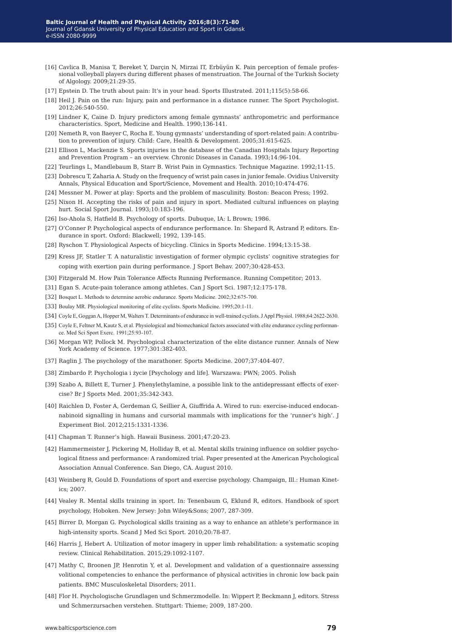- [16] Cavlica B, Manisa T, Bereket Y, Darçin N, Mirzai IT, Erbüyün K. Pain perception of female professional volleyball players during different phases of menstruation. The Journal of the Turkish Society of Algology. 2009;21:29-35.
- [17] Epstein D. The truth about pain: It's in your head. Sports Illustrated. 2011;115(5):58-66.
- [18] Heil J. Pain on the run: Injury, pain and performance in a distance runner. The Sport Psychologist. 2012;26:540-550.
- [19] Lindner K, Caine D. Injury predictors among female gymnasts' anthropometric and performance characteristics. Sport, Medicine and Health. 1990;136-141.
- [20] Nemeth R, von Baeyer C, Rocha E. Young gymnasts' understanding of sport-related pain: A contribution to prevention of injury. Child: Care, Health & Development. 2005;31:615-625.
- [21] Ellison L, Mackenzie S. Sports injuries in the database of the Canadian Hospitals Injury Reporting and Prevention Program – an overview. Chronic Diseases in Canada. 1993;14:96-104.
- [22] Teurlings L, Mandlebaum B, Starr B. Wrist Pain in Gymnastics. Technique Magazine. 1992;11-15.
- [23] Dobrescu T, Zaharia A. Study on the frequency of wrist pain cases in junior female. Ovidius University Annals, Physical Education and Sport/Science, Movement and Health. 2010;10:474-476.
- [24] Messner M. Power at play: Sports and the problem of masculinity. Boston: Beacon Press; 1992.
- [25] Nixon H. Accepting the risks of pain and injury in sport. Mediated cultural influences on playing hurt. Social Sport Journal. 1993;10:183-196.
- [26] Iso-Ahola S, Hatfield B. Psychology of sports. Dubuque, IA: L Brown; 1986.
- [27] O'Conner P. Psychological aspects of endurance performance. In: Shepard R, Astrand P, editors. Endurance in sport. Oxford: Blackwell; 1992, 139-145.
- [28] Ryschon T. Physiological Aspects of bicycling. Clinics in Sports Medicine. 1994;13:15-38.
- [29] Kress JF, Statler T. A naturalistic investigation of former olympic cyclists' cognitive strategies for coping with exertion pain during performance. J Sport Behav. 2007;30:428-453.
- [30] Fitzgerald M. How Pain Tolerance Affects Running Performance. Running Competitor; 2013.
- [31] Egan S. Acute-pain tolerance among athletes. Can J Sport Sci. 1987;12:175-178.
- [32] Bosquet L. Methods to determine aerobic endurance. Sports Medicine. 2002;32:675-700.
- [33] Boulay MR. Physiological monitoring of elite cyclists. Sports Medicine. 1995;20:1-11.
- [34] Coyle E, Goggan A, Hopper M, Walters T. Determinants of endurance in well-trained cyclists. J Appl Physiol. 1988;64:2622-2630.
- [35] Coyle E, Feltner M, Kautz S, et al. Physiological and biomechanical factors associated with elite endurance cycling performance. Med Sci Sport Exerc. 1991;25:93-107.
- [36] Morgan WP, Pollock M. Psychological characterization of the elite distance runner. Annals of New York Academy of Science. 1977;301:382-403.
- [37] Raglin J. The psychology of the marathoner. Sports Medicine. 2007;37:404-407.
- [38] Zimbardo P. Psychologia i życie [Psychology and life]. Warszawa: PWN; 2005. Polish
- [39] Szabo A, Billett E, Turner J. Phenylethylamine, a possible link to the antidepressant effects of exercise? Br J Sports Med. 2001;35:342-343.
- [40] Raichlen D, Foster A, Gerdeman G, Seillier A, Giuffrida A. Wired to run: exercise-induced endocannabinoid signalling in humans and cursorial mammals with implications for the 'runner's high'. J Experiment Biol. 2012;215:1331-1336.
- [41] Chapman T. Runner's high. Hawaii Business. 2001;47:20-23.
- [42] Hammermeister J, Pickering M, Holliday B, et al. Mental skills training influence on soldier psychological fitness and performance: A randomized trial. Paper presented at the American Psychological Association Annual Conference. San Diego, CA. August 2010.
- [43] Weinberg R, Gould D. Foundations of sport and exercise psychology. Champaign, Ill.: Human Kinetics; 2007.
- [44] Vealey R. Mental skills training in sport. In: Tenenbaum G, Eklund R, editors. Handbook of sport psychology, Hoboken. New Jersey: John Wiley&Sons; 2007, 287-309.
- [45] Birrer D, Morgan G. Psychological skills training as a way to enhance an athlete's performance in high-intensity sports. Scand J Med Sci Sport. 2010;20:78-87.
- [46] Harris J, Hebert A. Utilization of motor imagery in upper limb rehabilitation: a systematic scoping review. Clinical Rehabilitation. 2015;29:1092-1107.
- [47] Mathy C, Broonen JP, Henrotin Y, et al. Development and validation of a questionnaire assessing volitional competencies to enhance the performance of physical activities in chronic low back pain patients. BMC Musculoskeletal Disorders; 2011.
- [48] Flor H. Psychologische Grundlagen und Schmerzmodelle. In: Wippert P, Beckmann J, editors. Stress und Schmerzursachen verstehen. Stuttgart: Thieme; 2009, 187-200.